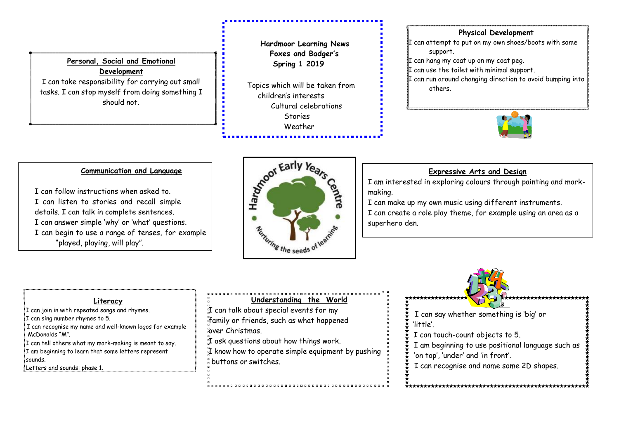## **Personal, Social and Emotional Development** I can take responsibility for carrying out small

tasks. I can stop myself from doing something I should not.

<u>I can share resources and can take turns and can take turns and can take turns and can take turns and can take tu</u>

l.

## **Hardmoor Learning News Foxes and Badger's Spring 1 2019**

 Topics which will be taken from children's interests Cultural celebrations Stories Weather

#### **Physical Development**

 $\P$  can attempt to put on my own shoes/boots with some support.

 $\mathbb I$  can hang my coat up on my coat peg.

 $\mathbb I$  can use the toilet with minimal support.

 $\Pi$  can run around changing direction to avoid bumping into others.



#### **Communication and Language**

I can follow instructions when asked to. I can listen to stories and recall simple details. I can talk in complete sentences. I can answer simple 'why' or 'what' questions. I can begin to use a range of tenses, for example "played, playing, will play".



## **Expressive Arts and Design**

**Expressive Arts and Design.** I am interested in exploring colours through painting and mark-<br>. making.

making.<br>I can make up my own music using different instruments. our make up my own music using any or our mon unionist. I can create a role play theme, for example using an I can create a role play theme, for example using an area as a  $\alpha$  are as  $\alpha$  superhero defined as  $\alpha$ superhero den.

#### **Literacy**

I can join in with repeated songs and rhymes. I can sing number rhymes to 5. I can recognise my name and well-known logos for example McDonalds "M". I can tell others what my mark-making is meant to say. I am beginning to learn that some letters represent sounds. Letters and sounds: phase 1.

### **Understanding the World**

 $\mathbb{\tilde{I}}$  can talk about special events for my family or friends, such as what happened over Christmas.

,,,,,,,,,,,,,,,,,,,,,,,,,,,,

I ask questions about how things work.  $I$  know how to operate simple equipment by pushing buttons or switches.



I can say whether something is 'big' or 'little'.

I can touch-count objects to 5.

I am beginning to use positional language such as

\*\*\*\*\*\*\*\*\*\*\*\*\*\*\*\*\*\*

'on top', 'under' and 'in front'.

I can recognise and name some 2D shapes.